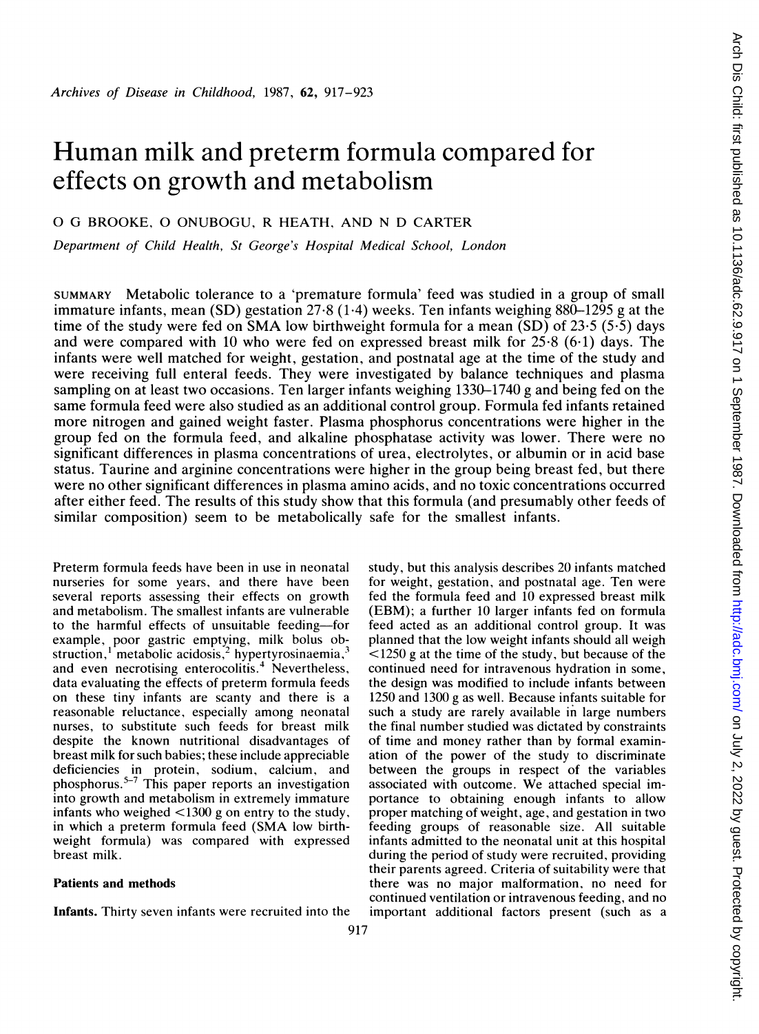# Human milk and preterm formula compared for effects on growth and metabolism

O G BROOKE, 0 ONUBOGU, R HEATH, AND N D CARTER

Department of Child Health, St George's Hospital Medical School, London

SUMMARY Metabolic tolerance to a 'premature formula' feed was studied in a group of small immature infants, mean  $(SD)$  gestation  $27.8$  (1.4) weeks. Ten infants weighing 880-1295 g at the time of the study were fed on SMA low birthweight formula for a mean  $(SD)$  of 23.5 (5.5) days and were compared with 10 who were fed on expressed breast milk for 25-8 (6-1) days. The infants were well matched for weight, gestation, and postnatal age at the time of the study and were receiving full enteral feeds. They were investigated by balance techniques and plasma sampling on at least two occasions. Ten larger infants weighing 1330-1740 g and being fed on the same formula feed were also studied as an additional control group. Formula fed infants retained more nitrogen and gained weight faster. Plasma phosphorus concentrations were higher in the group fed on the formula feed, and alkaline phosphatase activity was lower. There were no significant differences in plasma concentrations of urea, electrolytes, or albumin or in acid base status. Taurine and arginine concentrations were higher in the group being breast fed, but there were no other significant differences in plasma amino acids, and no toxic concentrations occurred after either feed. The results of this study show that this formula (and presumably other feeds of similar composition) seem to be metabolically safe for the smallest infants.

Preterm formula feeds have been in use in neonatal nurseries for some years. and there have been several reports assessing their effects on growth and metabolism. The smallest infants are vulnerable to the harmful effects of unsuitable feeding-for example, poor gastric emptying, milk bolus obstruction, metabolic acidosis, mypertyrosinaemia, and even necrotising enterocolitis.<sup>4</sup> Nevertheless, data evaluating the effects of preterm formula feeds on these tiny infants are scanty and there is a reasonable reluctance, especially among neonatal nurses, to substitute such feeds for breast milk despite the known nutritional disadvantages of breast milk for such babies; these include appreciable deficiencies in protein, sodium, calcium, and phosphorus.<sup>3-7</sup> This paper reports an investigation into growth and metabolism in extremely immature infants who weighed <1300 g on entry to the study, in which <sup>a</sup> preterm formula feed (SMA low birthweight formula) was compared with expressed breast milk.

# Patients and methods

Infants. Thirty seven infants were recruited into the

study, but this analysis describes 20 infants matched for weight, gestation, and postnatal age. Ten were fed the formula feed and 10 expressed breast milk (EBM); a further 10 larger infants fed on formula feed acted as an additional control group. It was planned that the low weight infants should all weigh  $\leq$ 1250 g at the time of the study, but because of the continued need for intravenous hydration in some, the design was modified to include infants between 1250 and 1300 g as well. Because infants suitable for such a study are rarely available in large numbers the final number studied was dictated by constraints of time and money rather than by formal examination of the power of the study to discriminate between the groups in respect of the variables associated with outcome. We attached special importance to obtaining enough infants to allow proper matching of weight, age, and gestation in two feeding groups of reasonable size. All suitable infants admitted to the neonatal unit at this hospital during the period of study were recruited, providing their parents agreed. Criteria of suitability were that there was no major malformation, no need for continued ventilation or intravenous feeding, and no important additional factors present (such as a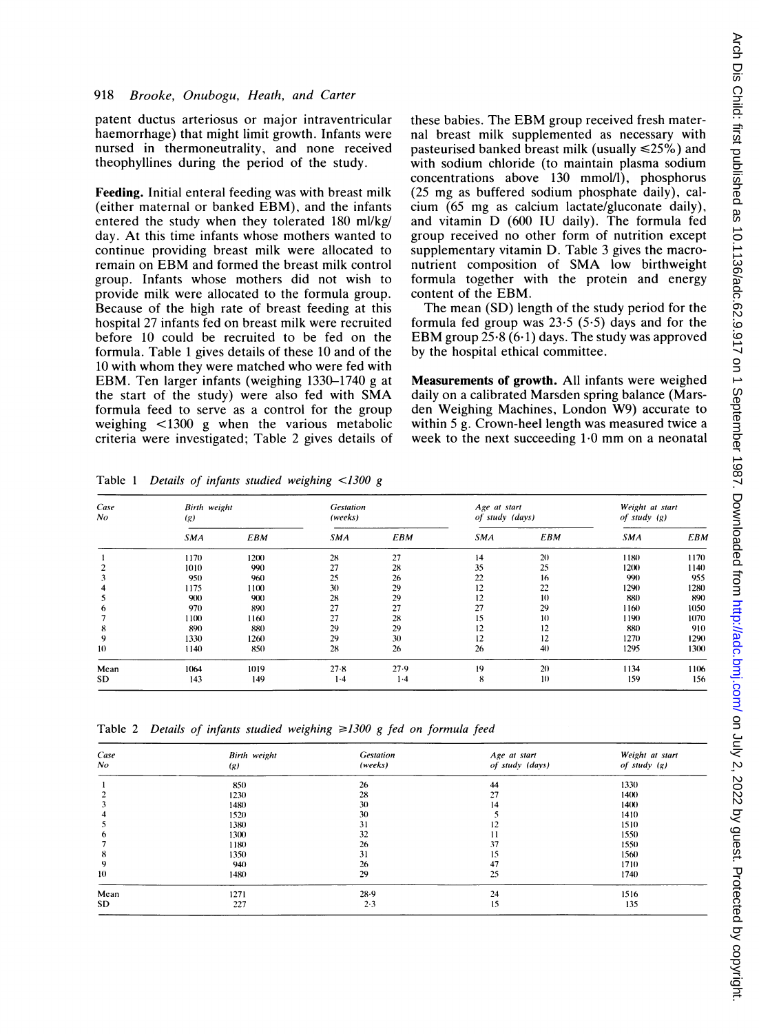### 918 Brooke, Onubogu, Heath, and Carter

patent ductus arteriosus or major intraventricular haemorrhage) that might limit growth. Infants were nursed in thermoneutrality, and none received theophyllines during the period of the study.

Feeding. Initial enteral feeding was with breast milk (either maternal or banked EBM), and the infants entered the study when they tolerated 180 ml/kg/ day. At this time infants whose mothers wanted to continue providing breast milk were allocated to remain on EBM and formed the breast milk control group. Infants whose mothers did not wish to provide milk were allocated to the formula group. Because of the high rate of breast feeding at this hospital 27 infants fed on breast milk were recruited before 10 could be recruited to be fed on the formula. Table <sup>1</sup> gives details of these 10 and of the <sup>10</sup> with whom they were matched who were fed with EBM. Ten larger infants (weighing 1330-1740 <sup>g</sup> at the start of the study) were also fed with SMA formula feed to serve as a control for the group weighing <1300 g when the various metabolic criteria were investigated; Table 2 gives details of these babies. The EBM group received fresh maternal breast milk supplemented as necessary with pasteurised banked breast milk (usually  $\leq 25\%$ ) and with sodium chloride (to maintain plasma sodium concentrations above 130 mmol/l), phosphorus (25 mg as buffered sodium phosphate daily), calcium (65 mg as calcium lactate/gluconate daily), and vitamin D (600 IU daily). The formula fed group received no other form of nutrition except supplementary vitamin D. Table 3 gives the macronutrient composition of SMA low birthweight formula together with the protein and energy content of the EBM.

The mean (SD) length of the study period for the formula fed group was 23-5 (5-5) days and for the EBM group  $25.8(6.1)$  days. The study was approved by the hospital ethical committee.

Measurements of growth. All infants were weighed daily on a calibrated Marsden spring balance (Marsden Weighing Machines, London W9) accurate to within 5 g. Crown-heel length was measured twice a week to the next succeeding 1-0 mm on <sup>a</sup> neonatal

Case Birth weight Gestation Age at start Weight at start No (g) (g) (weeks) of study (days) of study (days) of study (g) SMA EBM SMA EBM SMA EBM SMA EBM <sup>1</sup> 1170 12(X) 28 27 14 20 1180 1170 2 1010 990 27 28 35 25 1200 1140  $3 \qquad 950 \qquad 960 \qquad 25 \qquad 26 \qquad 22 \qquad 16 \qquad 990 \qquad 955$ 4 1175 1100 30 29 12 22 1290 1280 5 9(1) 9(1) 28 29 12 10 880 890 6 970 890 27 27 27 29 1160 1050  $7$  1100 1160 27 28 15 10 1190 1070 8 890) 88)) 29 29 12 12 88X) 91() 9 1330 1260 29 30 12 12 1270 1290 1) 1140 85)) 28 26 26 4)) 1295 13(X) Mean 1064 1019 27-8 27-9 19 20 1134 1106 SD 143 149 1-4 1-4 8 10 159 156

Table 1 Details of infants studied weighing  $\lt 1300$  g

Table 2 Details of infants studied weighing  $\geq 1300$  g fed on formula feed

| Case<br>No    | Birth weight<br>(g) | <b>Gestation</b><br>(weeks) | Age at start<br>of study (days) | Weight at start<br>of study $(g)$ |
|---------------|---------------------|-----------------------------|---------------------------------|-----------------------------------|
|               | 850                 | 26                          | 44                              | 1330                              |
|               | 1230                | 28                          | 27                              | 1400                              |
| 3             | 1480                | 30                          | 14                              | 1400                              |
|               | 1520                | 30                          |                                 | 1410                              |
| $\mathcal{D}$ | 1380                | 31                          | 12                              | 1510                              |
| O             | 1300                | 32                          | 11                              | 1550                              |
|               | 1180                | 26                          | 37                              | 1550                              |
| 8             | 1350                | 31                          | 15                              | 1560                              |
| 9             | 940                 | 26                          | 47                              | 1710                              |
| 10            | 1480                | 29                          | 25                              | 1740                              |
| Mean          | 1271                | 28.9                        | 24                              | 1516                              |
| SD            | 227                 | 2.3                         | 15                              | 135                               |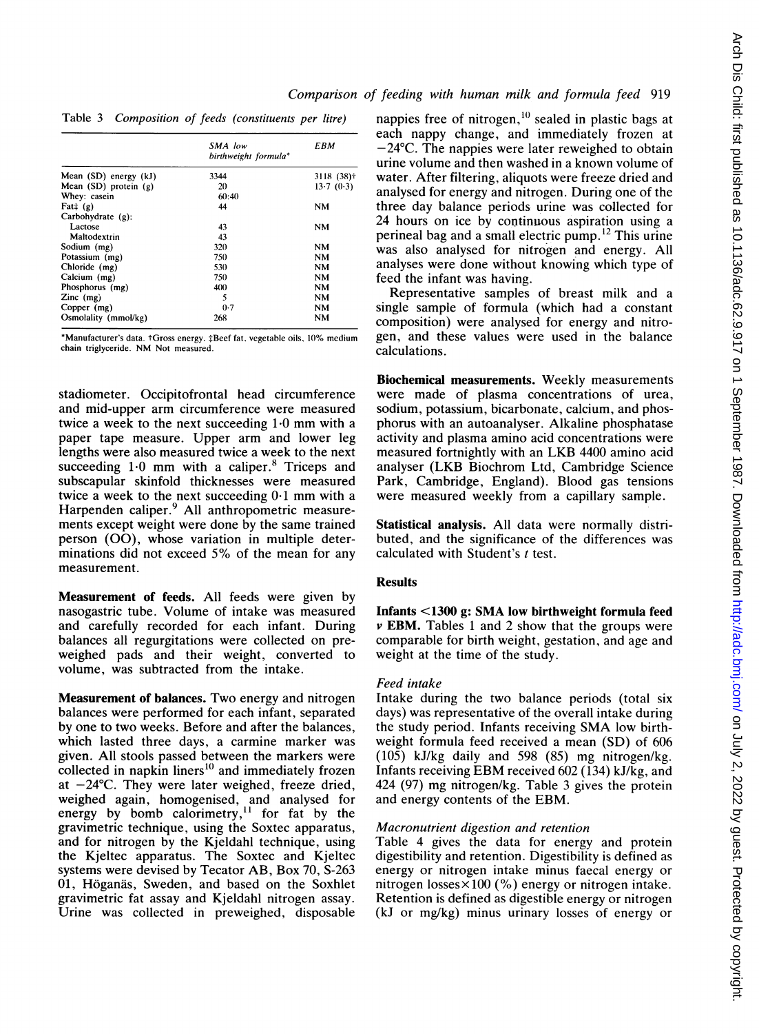| Comparison of feeding with human milk and formula feed 919 |  |  |  |  |  |  |  |  |  |
|------------------------------------------------------------|--|--|--|--|--|--|--|--|--|
|------------------------------------------------------------|--|--|--|--|--|--|--|--|--|

Table 3 Composition of feeds (constituents per litre)

|                           | SMA low<br>birthweight formula* | EBM                     |
|---------------------------|---------------------------------|-------------------------|
| Mean (SD) energy (kJ)     | 3344                            | $3118(38)$ <sup>†</sup> |
| Mean $(SD)$ protein $(g)$ | 20                              | 13.7(0.3)               |
| Whey: casein              | 60:40                           |                         |
| Fat $\ddagger$ (g)        | 44                              | NM                      |
| Carbohydrate $(g)$ :      |                                 |                         |
| Lactose                   | 43                              | NM                      |
| Maltodextrin              | 43                              |                         |
| Sodium (mg)               | 320                             | NM                      |
| Potassium (mg)            | 750                             | NM                      |
| Chloride (mg)             | 530                             | NM                      |
| Calcium (mg)              | 750                             | NM                      |
| Phosphorus (mg)           | 400                             | NM                      |
| $Zinc$ (mg)               | 5                               | <b>NM</b>               |
| Copper (mg)               | 0.7                             | NM                      |
| Osmolality (mmol/kg)      | 268                             | NM                      |

\*Manufacturer's data. tGross energy. jBeef fat, vegetable oils, 10% medium chain triglyceride. NM Not measured.

stadiometer. Occipitofrontal head circumference and mid-upper arm circumference were measured twice <sup>a</sup> week to the next succeeding 1-0 mm with <sup>a</sup> paper tape measure. Upper arm and lower leg lengths were also measured twice a week to the next succeeding  $1.0$  mm with a caliper.<sup>8</sup> Triceps and subscapular skinfold thicknesses were measured twice <sup>a</sup> week to the next succeeding 0-1 mm with <sup>a</sup> Harpenden caliper.<sup>9</sup> All anthropometric measurements except weight were done by the same trained person (00), whose variation in multiple determinations did not exceed 5% of the mean for any measurement.

Measurement of feeds. All feeds were given by nasogastric tube. Volume of intake was measured and carefully recorded for each infant. During balances all regurgitations were collected on preweighed pads and their weight, converted to volume, was subtracted from the intake.

Measurement of balances. Two energy and nitrogen balances were performed for each infant, separated by one to two weeks. Before and after the balances, which lasted three days, a carmine marker was given. All stools passed between the markers were collected in napkin liners<sup>10</sup> and immediately frozen at  $-24$ °C. They were later weighed, freeze dried, weighed again, homogenised, and analysed for energy by bomb calorimetry,<sup>11</sup> for fat by the gravimetric technique, using the Soxtec apparatus, and for nitrogen by the Kjeldahl technique, using the Kjeltec apparatus. The Soxtec and Kjeltec systems were devised by Tecator AB, Box 70, S-263 01, Höganäs, Sweden, and based on the Soxhlet gravimetric fat assay and Kjeldahl nitrogen assay. Urine was collected in preweighed, disposable

nappies free of nitrogen, $10$  sealed in plastic bags at each nappy change, and immediately frozen at  $-24$ °C. The nappies were later reweighed to obtain urine volume and then washed in a known volume of water. After filtering, aliquots were freeze dried and analysed for energy and nitrogen. During one of the three day balance periods urine was collected for 24 hours on ice by continuous aspiration using a perineal bag and a small electric pump.'2 This urine was also analysed for nitrogen and energy. All analyses were done without knowing which type of feed the infant was having. Representative samples of breast milk and a

single sample of formula (which had a constant composition) were analysed for energy and nitrogen, and these values were used in the balance calculations.

Biochemical measurements. Weekly measurements were made of plasma concentrations of urea, sodium, potassium, bicarbonate, calcium, and phosphorus with an autoanalyser. Alkaline phosphatase activity and plasma amino acid concentrations were measured fortnightly with an LKB 4400 amino acid analyser (LKB Biochrom Ltd, Cambridge Science Park, Cambridge, England). Blood gas tensions were measured weekly from a capillary sample.

Statistical analysis. All data were normally distributed, and the significance of the differences was calculated with Student's <sup>t</sup> test.

## Results

Infants <1300 g: SMA low birthweight formula feed  $\nu$  **EBM.** Tables 1 and 2 show that the groups were comparable for birth weight, gestation, and age and weight at the time of the study.

## Feed intake

Intake during the two balance periods (total six days) was representative of the overall intake during the study period. Infants receiving SMA low birthweight formula feed received a mean (SD) of 606 (105) kJ/kg daily and 598 (85) mg nitrogen/kg. Infants receiving EBM received  $602$  (134) kJ/kg, and 424 (97) mg nitrogen/kg. Table <sup>3</sup> gives the protein and energy contents of the EBM.

## Macronutrient digestion and retention

Table 4 gives the data for energy and protein digestibility and retention. Digestibility is defined as energy or nitrogen intake minus faecal energy or nitrogen losses $\times$ 100 (%) energy or nitrogen intake. Retention is defined as digestible energy or nitrogen (kJ or mg/kg) minus urinary losses of energy or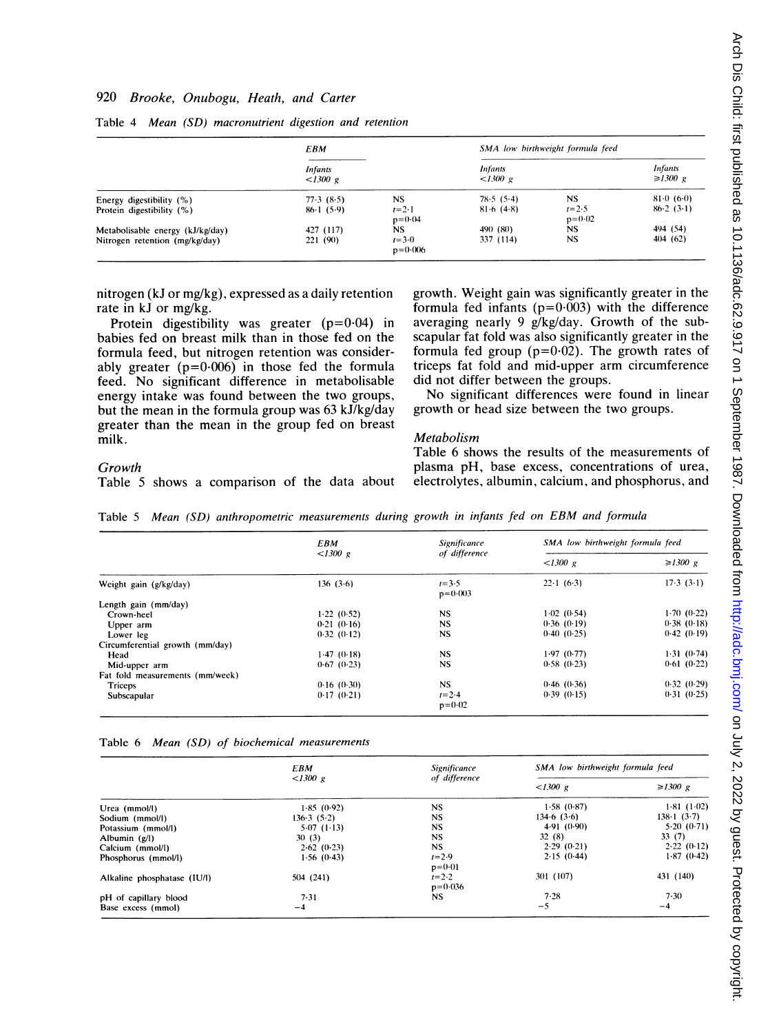# 920 Brooke, Onubogu, Heath, and Carter

|                                  | <b>EBM</b>                 |                          | SMA low birthweight formula feed |                         |                                 |  |
|----------------------------------|----------------------------|--------------------------|----------------------------------|-------------------------|---------------------------------|--|
|                                  | <b>Infants</b><br>< 1300 g |                          | <b>Infants</b><br><1300 g        |                         | <b>Infants</b><br>$\geq 1300$ g |  |
| Energy digestibility (%)         | 77.3(8.5)                  | <b>NS</b>                | 78.5(5.4)                        | <b>NS</b>               | $81 \cdot 0 \cdot (6 \cdot 0)$  |  |
| Protein digestibility (%)        | $86 \cdot 1(5 \cdot 9)$    | $t=2.1$<br>$p = 0.04$    | $81-6(4-8)$                      | $1 = 2.5$<br>$p = 0.02$ | 86.2(3.1)                       |  |
| Metabolisable energy (kJ/kg/day) | 427 (117)                  | NS.                      | 490 (80)                         | <b>NS</b>               | 494 (54)                        |  |
| Nitrogen retention (mg/kg/day)   | 221 (90)                   | $t = 3.0$<br>$p = 0.006$ | 337 (114)                        | <b>NS</b>               | 404 (62)                        |  |

Table 4 Mean (SD) macronutrient digestion and retention

formula feed, but nitrogen retention was consider-<br>ably greater ( $p=0.006$ ) in those fed the formula triceps fat fold and mid-upper arm circumference ably greater ( $p=0.006$ ) in those fed the formula triceps fat fold and mid-upper arm feed. No significant difference in metabolisable did not differ between the groups. feed. No significant difference in metabolisable did not differ between the groups. energy intake was found between the two groups, No significant differences were found in but the mean in the formula group was  $63 \frac{kJ}{kg}$  arowth or head size between the two groups. but the mean in the formula group was  $63 \text{ kJ/kg/day}$ greater than the mean in the group fed on breast

# nitrogen (kJ or mg/kg), expressed as a daily retention growth. Weight gain was significantly greater in the rate in kJ or mg/kg. formula fed infants ( $p=0.003$ ) with the difference Protein digestibility was greater ( $p=0.04$ ) in averaging nearly 9 g/kg/day. Growth of the sub-<br>babies fed on breast milk than in those fed on the scapular fat fold was also significantly greater in the scapular fat fold was also significantly greater in the formula fed group ( $p=0.02$ ). The growth rates of

#### **Metabolism**

Table 5 shows a comparison of the data about

Table 6 shows the results of the measurements of Growth<br>Table 5 shows a comparison of the data about electrolytes, albumin, calcium, and phosphorus, and

Table <sup>5</sup> Mean (SD) anthropometric measurements during growth in infants fed on EBM and formula

| <b>Significance</b><br>EBM                                                           | SMA low birthweight formula feed |  |  |
|--------------------------------------------------------------------------------------|----------------------------------|--|--|
| <1300 g<br>of difference<br><1300 g                                                  | $\geq 1300$ g                    |  |  |
| $22 \cdot 1$ (6.3)<br>$1 = 3.5$<br>136(3.6)<br>Weight gain (g/kg/day)<br>$p = 0.003$ | 17.3(3.1)                        |  |  |
| Length gain (mm/day)                                                                 |                                  |  |  |
| 1.02(0.54)<br><b>NS</b><br>1.22(0.52)<br>Crown-heel                                  | 1.70(0.22)                       |  |  |
| <b>NS</b><br>0.36(0.19)<br>0.21(0.16)<br>Upper arm                                   | 0.38(0.18)                       |  |  |
| <b>NS</b><br>0.40(0.25)<br>0.32(0.12)<br>Lower leg                                   | 0.42(0.19)                       |  |  |
| Circumferential growth (mm/day)                                                      |                                  |  |  |
| <b>NS</b><br>1.97(0.77)<br>1.47(0.18)<br>Head                                        | 1.31(0.74)                       |  |  |
| <b>NS</b><br>0.58(0.23)<br>0.67(0.23)<br>Mid-upper arm                               | 0.61(0.22)                       |  |  |
| Fat fold measurements (mm/week)                                                      |                                  |  |  |
| <b>NS</b><br>0.46(0.36)<br>0.16(0.30)<br>Triceps                                     | 0.32(0.29)                       |  |  |
| $1 = 2.4$<br>0.39(0.15)<br>0.17(0.21)<br>Subscapular                                 | 0.31(0.25)                       |  |  |
| $p = 0.02$                                                                           |                                  |  |  |

#### Table 6 Mean (SD) of biochemical measurements

|                             | <b>EBM</b> | <b>Significance</b>            | SMA low birthweight formula feed |                                 |  |
|-----------------------------|------------|--------------------------------|----------------------------------|---------------------------------|--|
|                             | <1300 g    | of difference                  | < 1300 g                         | $\geq 1300$ g                   |  |
| Urea (mmol/l)               | 1.85(0.92) | <b>NS</b>                      | 1.58(0.87)                       | 1.81(1.02)                      |  |
| Sodium (mmol/l)             | 136.3(5.2) | NS.                            | 134.6(3.6)                       | $138 \cdot 1 \cdot (3 \cdot 7)$ |  |
| Potassium (mmol/l)          | 5.07(1.13) | NS.                            | 4.91(0.90)                       | 5.20(0.71)                      |  |
| Albumin $(g/l)$             | 30(3)      | <b>NS</b>                      | 32(8)                            | 33(7)                           |  |
| Calcium (mmol/l)            | 2.62(0.23) | <b>NS</b>                      | 2.29(0.21)                       | 2.22(0.12)                      |  |
| Phosphorus (mmol/l)         | 1.56(0.43) | $t = 2.9$<br>$p = 0.01$        | 2.15(0.44)                       | 1.87(0.42)                      |  |
| Alkaline phosphatase (IU/l) | 504(241)   | $t = 2 \cdot 2$<br>$p = 0.036$ | 301 (107)                        | 431 (140)                       |  |
| pH of capillary blood       | 7.31       | NS.                            | 7.28                             | 7.30                            |  |
| Base excess (mmol)          | $-4$       |                                | $-5$                             | $-4$                            |  |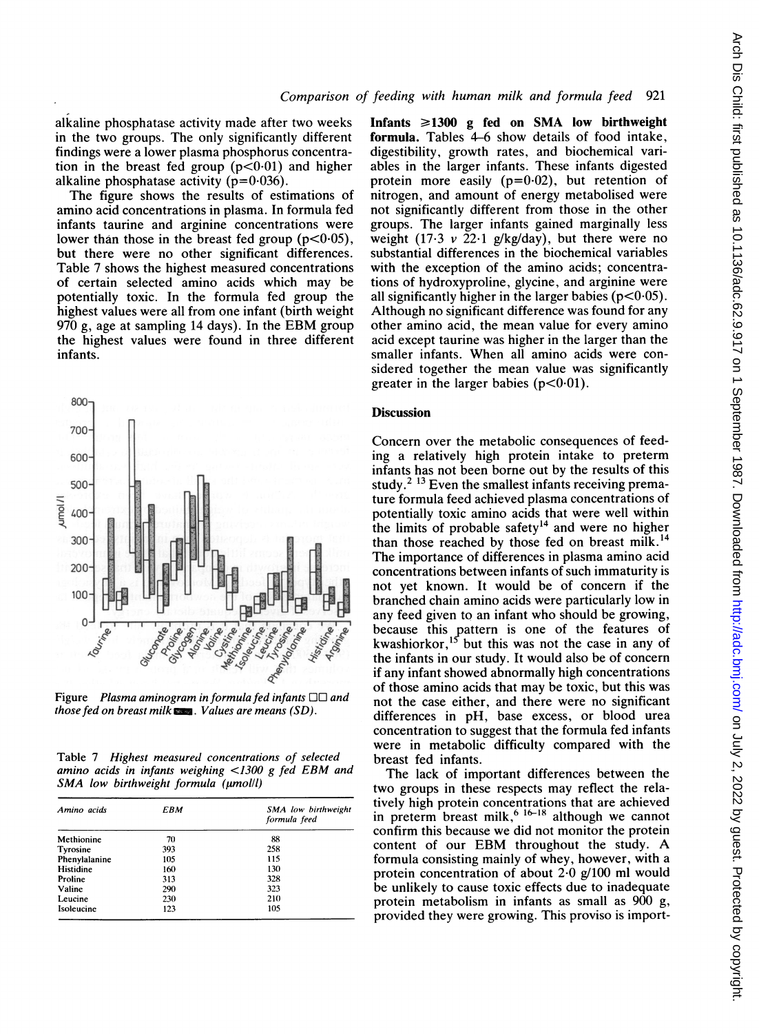alkaline phosphatase activity made after two weeks in the two groups. The only significantly different findings were a lower plasma phosphorus concentration in the breast fed group  $(p<0.01)$  and higher alkaline phosphatase activity ( $p=0.036$ ).

The figure shows the results of estimations of amino acid concentrations in plasma. In formula fed infants taurine and arginine concentrations were lower than those in the breast fed group  $(p<0.05)$ , but there were no other significant differences. Table 7 shows the highest measured concentrations of certain selected amino acids which may be potentially toxic. In the formula fed group the highest values were all from one infant (birth weight <sup>970</sup> g, age at sampling <sup>14</sup> days). In the EBM group the highest values were found in three different infants.



Figure Plasma aminogram in formula fed infants  $\square \square$  and those fed on breast milk  $\sum$ . Values are means (SD).

Table 7 Highest measured concentrations of selected amino acids in infants weighing <1300 <sup>g</sup> fed EBM and  $SMA$  low birthweight formula ( $\mu$ mol/l)

| Amino acids   | EBM | SMA low birthweight<br>formula feed |
|---------------|-----|-------------------------------------|
| Methionine    | 70  | 88                                  |
| Tyrosine      | 393 | 258                                 |
| Phenylalanine | 105 | 115                                 |
| Histidine     | 160 | 130                                 |
| Proline       | 313 | 328                                 |
| Valine        | 290 | 323                                 |
| Leucine       | 230 | 210                                 |
| Isoleucine    | 123 | 105                                 |

Infants  $\geq 1300$  g fed on SMA low birthweight formula. Tables 4-6 show details of food intake, digestibility, growth rates, and biochemical variables in the larger infants. These infants digested protein more easily  $(p=0.02)$ , but retention of nitrogen, and amount of energy metabolised were not significantly different from those in the other groups. The larger infants gained marginally less weight (17.3  $\nu$  22.1 g/kg/day), but there were no substantial differences in the biochemical variables with the exception of the amino acids; concentrations of hydroxyproline, glycine, and arginine were all significantly higher in the larger babies  $(p<0.05)$ . Although no significant difference was found for any other amino acid, the mean value for every amino acid except taurine was higher in the larger than the smaller infants. When all amino acids were considered together the mean value was significantly greater in the larger babies  $(p<0.01)$ .

# Discussion

Concern over the metabolic consequences of feeding a relatively high protein intake to preterm infants has not been borne out by the results of this study.<sup>2 13</sup> Even the smallest infants receiving premature formula feed achieved plasma concentrations of potentially toxic amino acids that were well within the limits of probable safety<sup>14</sup> and were no higher than those reached by those fed on breast milk.<sup>14</sup> The importance of differences in plasma amino acid concentrations between infants of such immaturity is not yet known. It would be of concern if the branched chain amino acids were particularly low in any feed given to an infant who should be growing, because this pattern is one of the features of kwashiorkor,<sup>13</sup> but this was not the case in any of the infants in our study. It would also be of concern if any infant showed abnormally high concentrations of those amino acids that may be toxic, but this was not the case either, and there were no significant differences in pH, base excess, or blood urea concentration to suggest that the formula fed infants were in metabolic difficulty compared with the breast fed infants.

The lack of important differences between the two groups in these respects may reflect the relatively high protein concentrations that are achieved in preterm breast milk,<sup>6 16-18</sup> although we cannot confirm this because we did not monitor the protein content of our EBM throughout the study. A formula consisting mainly of whey, however, with a protein concentration of about 2-0 g/100 ml would be unlikely to cause toxic effects due to inadequate protein metabolism in infants as small as 900 g, provided they were growing. This proviso is import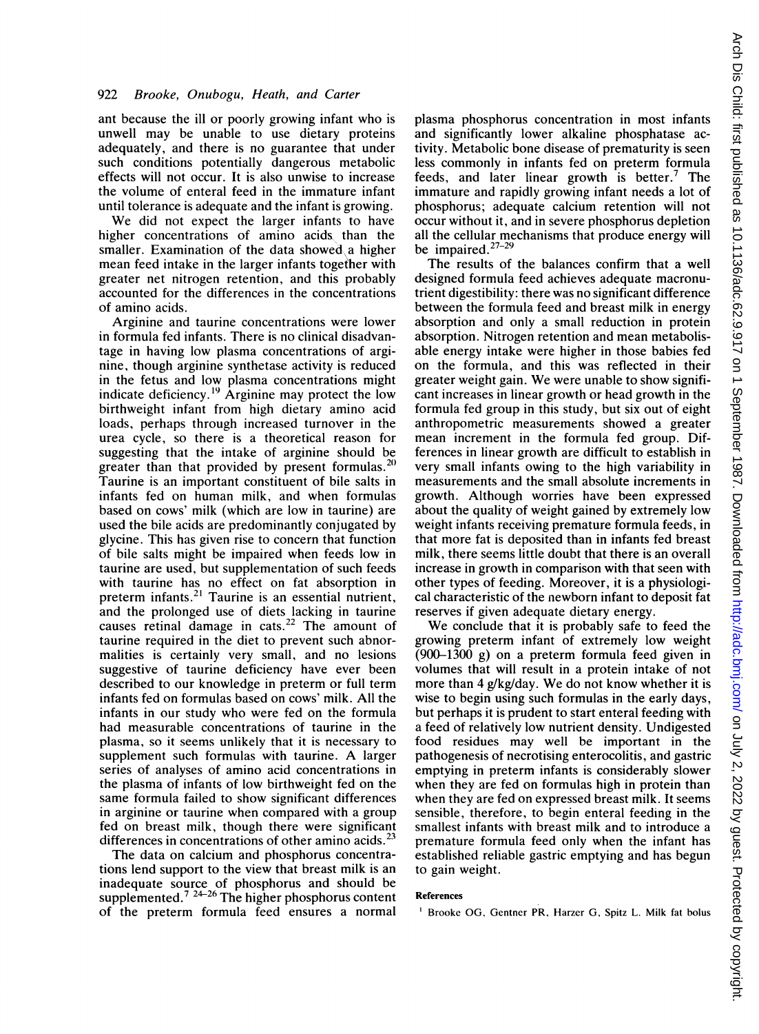ant because the ill or poorly growing infant who is unwell may be unable to use dietary proteins adequately, and there is no guarantee that under such conditions potentially dangerous metabolic effects will not occur. It is also unwise to increase the volume of enteral feed in the immature infant until tolerance is adequate and the infant is growing.

We did not expect the larger infants to have higher concentrations of amino acids than the smaller. Examination of the data showed a higher mean feed intake in the larger infants together with greater net nitrogen retention, and this probably accounted for the differences in the concentrations of amino acids.

Arginine and taurine concentrations were lower in formula fed infants. There is no clinical disadvantage in having low plasma concentrations of arginine, though arginine synthetase activity is reduced in the fetus and low plasma concentrations might indicate deficiency.'9 Arginine may protect the low birthweight infant from high dietary amino acid loads, perhaps through increased turnover in the urea cycle, so there is <sup>a</sup> theoretical reason for suggesting that the intake of arginine should be greater than that provided by present formulas.<sup>20</sup> Taurine is an important constituent of bile salts in infants fed on human milk, and when formulas based on cows' milk (which are low in taurine) are used the bile acids are predominantly conjugated by glycine. This has given rise to concern that function of bile salts might be impaired when feeds low in taurine are used, but supplementation of such feeds with taurine has no effect on fat absorption in preterm infants.<sup>21</sup> Taurine is an essential nutrient, and the prolonged use of diets lacking in taurine causes retinal damage in cats.<sup>22</sup> The amount of taurine required in the diet to prevent such abnormalities is certainly very small, and no lesions suggestive of taurine deficiency have ever been described to our knowledge in preterm or full term infants fed on formulas based on cows' milk. All the infants in our study who were fed on the formula had measurable concentrations of taurine in the plasma, so it seems unlikely that it is necessary to supplement such formulas with taurine. A larger series of analyses of amino acid concentrations in the plasma of infants of low birthweight fed on the same formula failed to show significant differences in arginine or taurine when compared with a group fed on breast milk, though there were significant differences in concentrations of other amino acids.<sup>23</sup>

The data on calcium and phosphorus concentrations lend support to the view that breast milk is an inadequate source of phosphorus and should be supplemented.<sup>7 24-26</sup> The higher phosphorus content of the preterm formula feed ensures a normal plasma phosphorus concentration in most infants and significantly lower alkaline phosphatase activity. Metabolic bone disease of prematurity is seen less commonly in infants fed on preterm formula feeds, and later linear growth is better.7 The immature and rapidly growing infant needs a lot of phosphorus; adequate calcium retention will not occur without it, and in severe phosphorus depletion all the cellular mechanisms that produce energy will be impaired. $27-29$ 

The results of the balances confirm that a well designed formula feed achieves adequate macronutrient digestibility: there was no significant difference between the formula feed and breast milk in energy absorption and only a small reduction in protein absorption. Nitrogen retention and mean metabolisable energy intake were higher in those babies fed on the formula, and this was reflected in their greater weight gain. We were unable to show significant increases in linear growth or head growth in the formula fed group in this study, but six out of eight anthropometric measurements showed a greater mean increment in the formula fed group. Differences in linear growth are difficult to establish in very small infants owing to the high variability in measurements and the small absolute increments in growth. Although worries have been expressed about the quality of weight gained by extremely low weight infants receiving premature formula feeds, in that more fat is deposited than in infants fed breast milk, there seems little doubt that there is an overall increase in growth in comparison with that seen with other types of feeding. Moreover, it is a physiological characteristic of the newborn infant to deposit fat reserves if given adequate dietary energy.

We conclude that it is probably safe to feed the growing preterm infant of extremely low weight (900-1300 g) on a preterm formula feed given in volumes that will result in a protein intake of not more than  $4$  g/kg/day. We do not know whether it is wise to begin using such formulas in the early days, but perhaps it is prudent to start enteral feeding with a feed of relatively low nutrient density. Undigested food residues may well be important in the pathogenesis of necrotising enterocolitis, and gastric emptying in preterm infants is considerably slower when they are fed on formulas high in protein than when they are fed on expressed breast milk. It seems sensible, therefore, to begin enteral feeding in the smallest infants with breast milk and to introduce a premature formula feed only when the infant has established reliable gastric emptying and has begun to gain weight.

#### References

<sup>&</sup>lt;sup>1</sup> Brooke OG, Gentner PR, Harzer G, Spitz L. Milk fat bolus